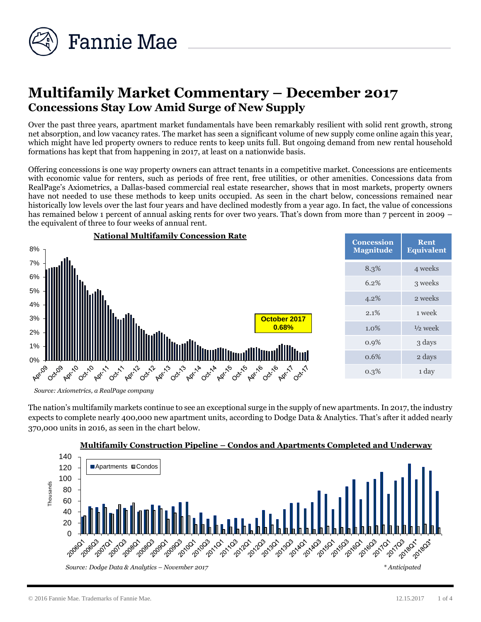

# **Multifamily Market Commentary – December 2017 Concessions Stay Low Amid Surge of New Supply**

Over the past three years, apartment market fundamentals have been remarkably resilient with solid rent growth, strong net absorption, and low vacancy rates. The market has seen a significant volume of new supply come online again this year, which might have led property owners to reduce rents to keep units full. But ongoing demand from new rental household formations has kept that from happening in 2017, at least on a nationwide basis.

Offering concessions is one way property owners can attract tenants in a competitive market. Concessions are enticements with economic value for renters, such as periods of free rent, free utilities, or other amenities. Concessions data from RealPage's Axiometrics, a Dallas-based commercial real estate researcher, shows that in most markets, property owners have not needed to use these methods to keep units occupied. As seen in the chart below, concessions remained near historically low levels over the last four years and have declined modestly from a year ago. In fact, the value of concessions has remained below 1 percent of annual asking rents for over two years. That's down from more than 7 percent in 2009 – the equivalent of three to four weeks of annual rent.



*Source: Axiometrics, a RealPage company*

The nation's multifamily markets continue to see an exceptional surge in the supply of new apartments. In 2017, the industry expects to complete nearly 400,000 new apartment units, according to Dodge Data & Analytics. That's after it added nearly 370,000 units in 2016, as seen in the chart below.



## **Multifamily Construction Pipeline – Condos and Apartments Completed and Underway**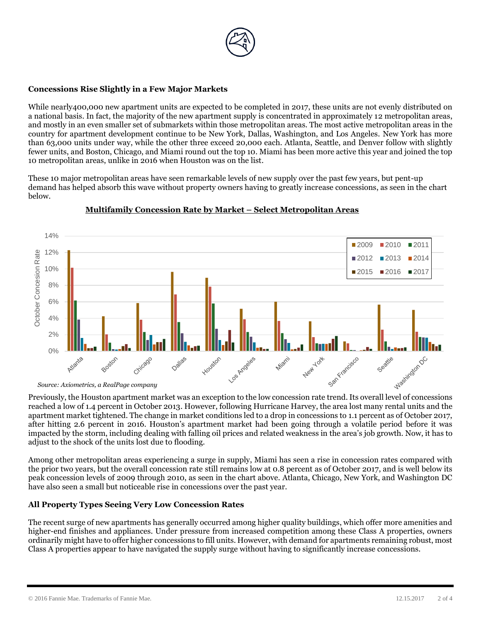

### **Concessions Rise Slightly in a Few Major Markets**

While nearly400,000 new apartment units are expected to be completed in 2017, these units are not evenly distributed on a national basis. In fact, the majority of the new apartment supply is concentrated in approximately 12 metropolitan areas, and mostly in an even smaller set of submarkets within those metropolitan areas. The most active metropolitan areas in the country for apartment development continue to be New York, Dallas, Washington, and Los Angeles. New York has more than 63,000 units under way, while the other three exceed 20,000 each. Atlanta, Seattle, and Denver follow with slightly fewer units, and Boston, Chicago, and Miami round out the top 10. Miami has been more active this year and joined the top 10 metropolitan areas, unlike in 2016 when Houston was on the list.

These 10 major metropolitan areas have seen remarkable levels of new supply over the past few years, but pent-up demand has helped absorb this wave without property owners having to greatly increase concessions, as seen in the chart below.



# **Multifamily Concession Rate by Market – Select Metropolitan Areas**

reached a low of 1.4 percent in October 2013. However, following Hurricane Harvey, the area lost many rental units and the apartment market tightened. The change in market conditions led to a drop in concessions to 1.1 percent as of October 2017, after hitting 2.6 percent in 2016. Houston's apartment market had been going through a volatile period before it was impacted by the storm, including dealing with falling oil prices and related weakness in the area's job growth. Now, it has to adjust to the shock of the units lost due to flooding.

Among other metropolitan areas experiencing a surge in supply, Miami has seen a rise in concession rates compared with the prior two years, but the overall concession rate still remains low at 0.8 percent as of October 2017, and is well below its peak concession levels of 2009 through 2010, as seen in the chart above. Atlanta, Chicago, New York, and Washington DC have also seen a small but noticeable rise in concessions over the past year.

## **All Property Types Seeing Very Low Concession Rates**

The recent surge of new apartments has generally occurred among higher quality buildings, which offer more amenities and higher-end finishes and appliances. Under pressure from increased competition among these Class A properties, owners ordinarily might have to offer higher concessions to fill units. However, with demand for apartments remaining robust, most Class A properties appear to have navigated the supply surge without having to significantly increase concessions.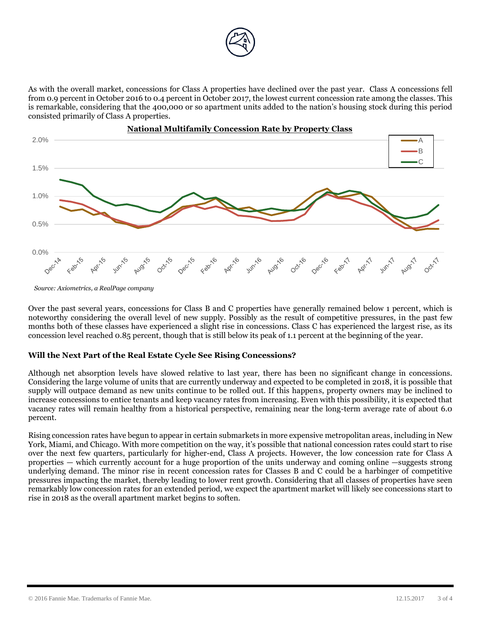

As with the overall market, concessions for Class A properties have declined over the past year. Class A concessions fell from 0.9 percent in October 2016 to 0.4 percent in October 2017, the lowest current concession rate among the classes. This is remarkable, considering that the 400,000 or so apartment units added to the nation's housing stock during this period consisted primarily of Class A properties.



*Source: Axiometrics, a RealPage company*

Over the past several years, concessions for Class B and C properties have generally remained below 1 percent, which is noteworthy considering the overall level of new supply. Possibly as the result of competitive pressures, in the past few months both of these classes have experienced a slight rise in concessions. Class C has experienced the largest rise, as its concession level reached 0.85 percent, though that is still below its peak of 1.1 percent at the beginning of the year.

#### **Will the Next Part of the Real Estate Cycle See Rising Concessions?**

Although net absorption levels have slowed relative to last year, there has been no significant change in concessions. Considering the large volume of units that are currently underway and expected to be completed in 2018, it is possible that supply will outpace demand as new units continue to be rolled out. If this happens, property owners may be inclined to increase concessions to entice tenants and keep vacancy rates from increasing. Even with this possibility, it is expected that vacancy rates will remain healthy from a historical perspective, remaining near the long-term average rate of about 6.0 percent.

Rising concession rates have begun to appear in certain submarkets in more expensive metropolitan areas, including in New York, Miami, and Chicago. With more competition on the way, it's possible that national concession rates could start to rise over the next few quarters, particularly for higher-end, Class A projects. However, the low concession rate for Class A properties — which currently account for a huge proportion of the units underway and coming online —suggests strong underlying demand. The minor rise in recent concession rates for Classes B and C could be a harbinger of competitive pressures impacting the market, thereby leading to lower rent growth. Considering that all classes of properties have seen remarkably low concession rates for an extended period, we expect the apartment market will likely see concessions start to rise in 2018 as the overall apartment market begins to soften.